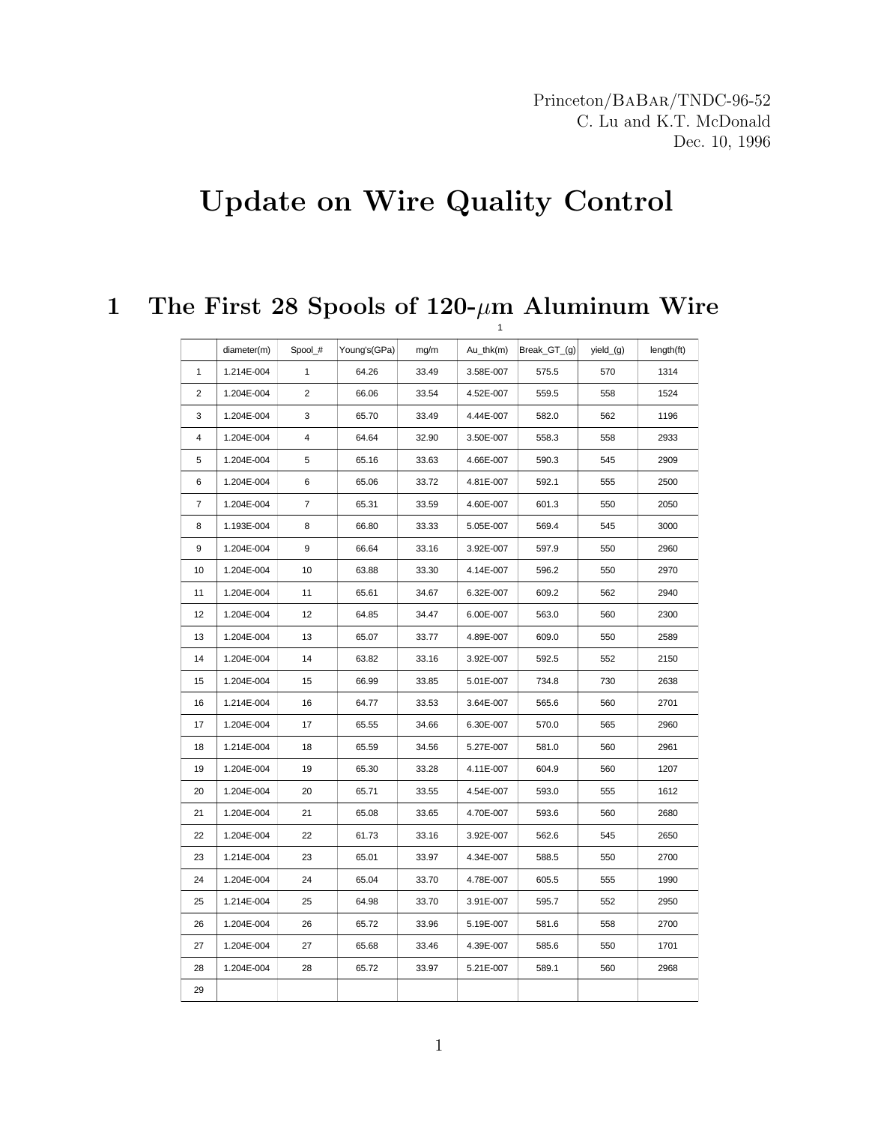## Update on Wire Quality Control

1

## 1 The First 28 Spools of 120- $\mu$ m Aluminum Wire

|    | diameter(m) | Spool_#      | Young's (GPa) | mg/m  | $Au_thk(m)$ | Break_GT_(g) | $yield_g)$ | length(ft) |
|----|-------------|--------------|---------------|-------|-------------|--------------|------------|------------|
| 1  | 1.214E-004  | $\mathbf{1}$ | 64.26         | 33.49 | 3.58E-007   | 575.5        | 570        | 1314       |
| 2  | 1.204E-004  | 2            | 66.06         | 33.54 | 4.52E-007   | 559.5        | 558        | 1524       |
| 3  | 1.204E-004  | 3            | 65.70         | 33.49 | 4.44E-007   | 582.0        | 562        | 1196       |
| 4  | 1.204E-004  | 4            | 64.64         | 32.90 | 3.50E-007   | 558.3        | 558        | 2933       |
| 5  | 1.204E-004  | 5            | 65.16         | 33.63 | 4.66E-007   | 590.3        | 545        | 2909       |
| 6  | 1.204E-004  | 6            | 65.06         | 33.72 | 4.81E-007   | 592.1        | 555        | 2500       |
| 7  | 1.204E-004  | 7            | 65.31         | 33.59 | 4.60E-007   | 601.3        | 550        | 2050       |
| 8  | 1.193E-004  | 8            | 66.80         | 33.33 | 5.05E-007   | 569.4        | 545        | 3000       |
| 9  | 1.204E-004  | 9            | 66.64         | 33.16 | 3.92E-007   | 597.9        | 550        | 2960       |
| 10 | 1.204E-004  | 10           | 63.88         | 33.30 | 4.14E-007   | 596.2        | 550        | 2970       |
| 11 | 1.204E-004  | 11           | 65.61         | 34.67 | 6.32E-007   | 609.2        | 562        | 2940       |
| 12 | 1.204E-004  | 12           | 64.85         | 34.47 | 6.00E-007   | 563.0        | 560        | 2300       |
| 13 | 1.204E-004  | 13           | 65.07         | 33.77 | 4.89E-007   | 609.0        | 550        | 2589       |
| 14 | 1.204E-004  | 14           | 63.82         | 33.16 | 3.92E-007   | 592.5        | 552        | 2150       |
| 15 | 1.204E-004  | 15           | 66.99         | 33.85 | 5.01E-007   | 734.8        | 730        | 2638       |
| 16 | 1.214E-004  | 16           | 64.77         | 33.53 | 3.64E-007   | 565.6        | 560        | 2701       |
| 17 | 1.204E-004  | 17           | 65.55         | 34.66 | 6.30E-007   | 570.0        | 565        | 2960       |
| 18 | 1.214E-004  | 18           | 65.59         | 34.56 | 5.27E-007   | 581.0        | 560        | 2961       |
| 19 | 1.204E-004  | 19           | 65.30         | 33.28 | 4.11E-007   | 604.9        | 560        | 1207       |
| 20 | 1.204E-004  | 20           | 65.71         | 33.55 | 4.54E-007   | 593.0        | 555        | 1612       |
| 21 | 1.204E-004  | 21           | 65.08         | 33.65 | 4.70E-007   | 593.6        | 560        | 2680       |
| 22 | 1.204E-004  | 22           | 61.73         | 33.16 | 3.92E-007   | 562.6        | 545        | 2650       |
| 23 | 1.214E-004  | 23           | 65.01         | 33.97 | 4.34E-007   | 588.5        | 550        | 2700       |
| 24 | 1.204E-004  | 24           | 65.04         | 33.70 | 4.78E-007   | 605.5        | 555        | 1990       |
| 25 | 1.214E-004  | 25           | 64.98         | 33.70 | 3.91E-007   | 595.7        | 552        | 2950       |
| 26 | 1.204E-004  | 26           | 65.72         | 33.96 | 5.19E-007   | 581.6        | 558        | 2700       |
| 27 | 1.204E-004  | 27           | 65.68         | 33.46 | 4.39E-007   | 585.6        | 550        | 1701       |
| 28 | 1.204E-004  | 28           | 65.72         | 33.97 | 5.21E-007   | 589.1        | 560        | 2968       |
| 29 |             |              |               |       |             |              |            |            |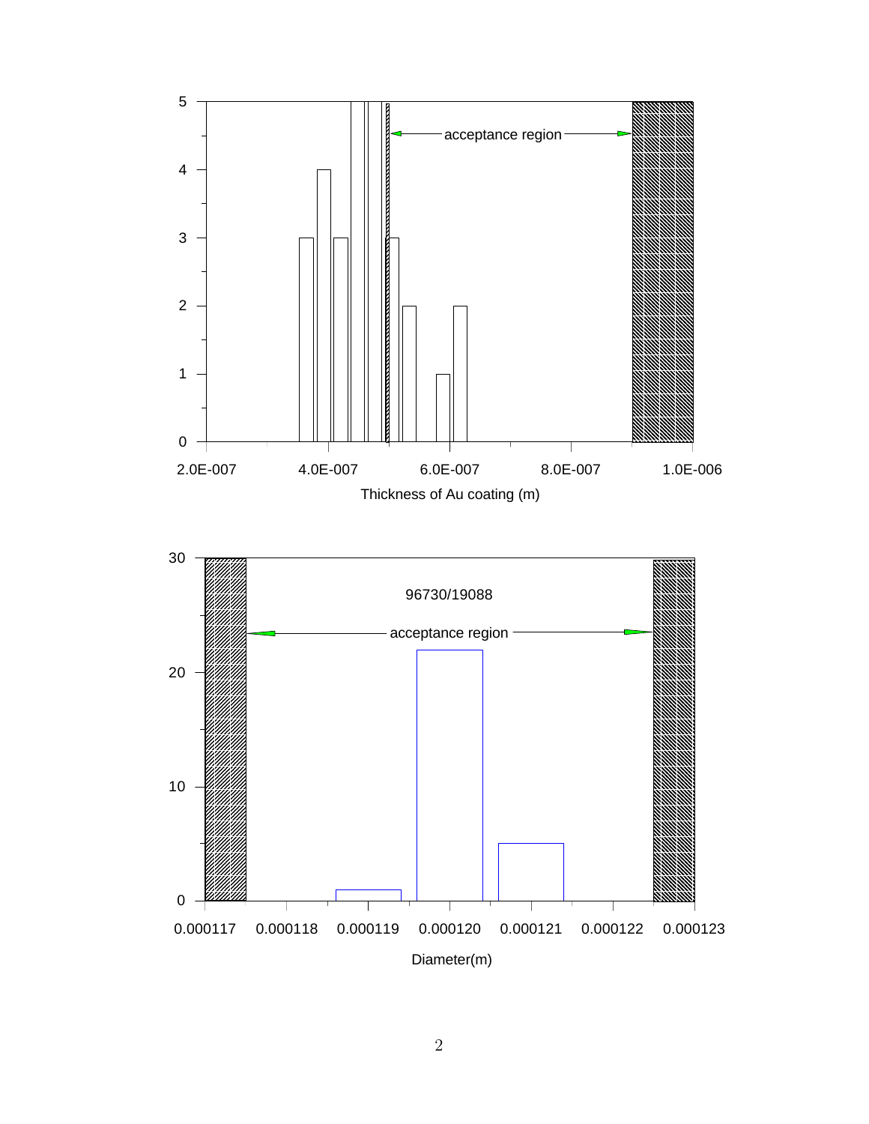

2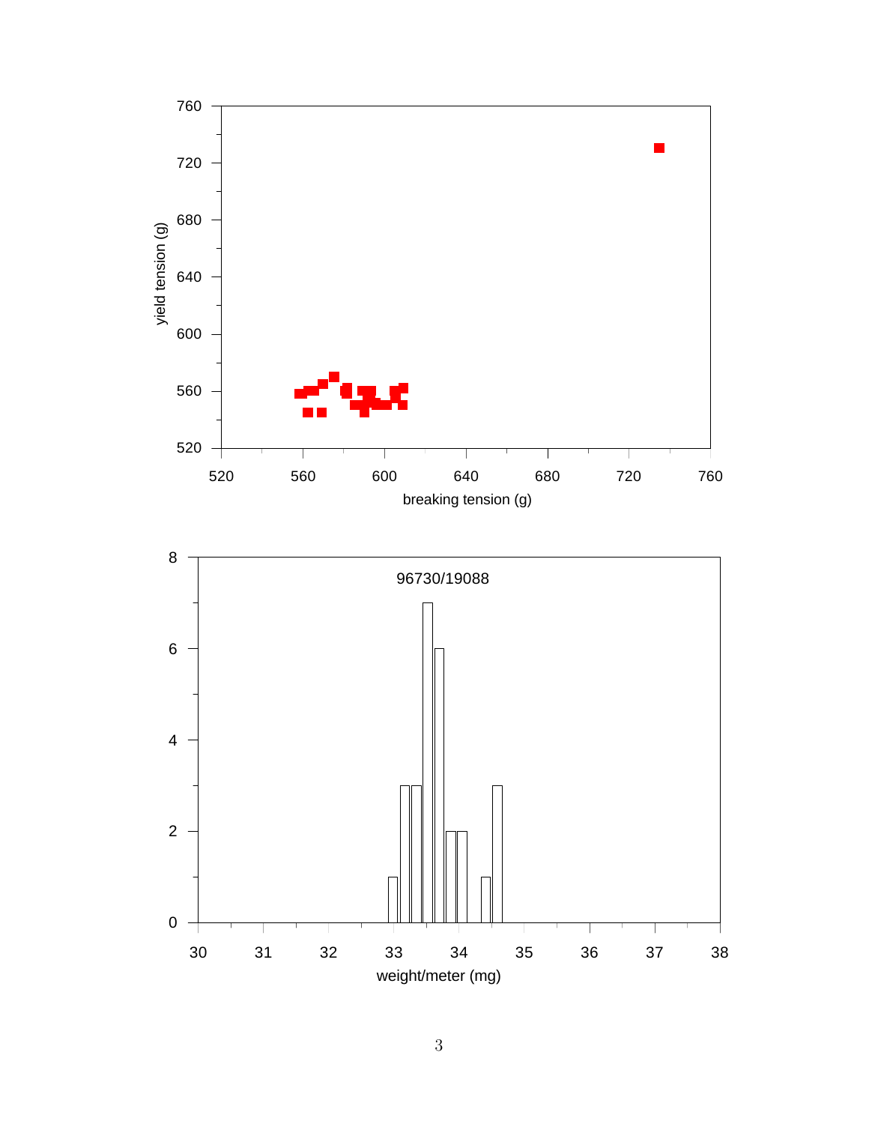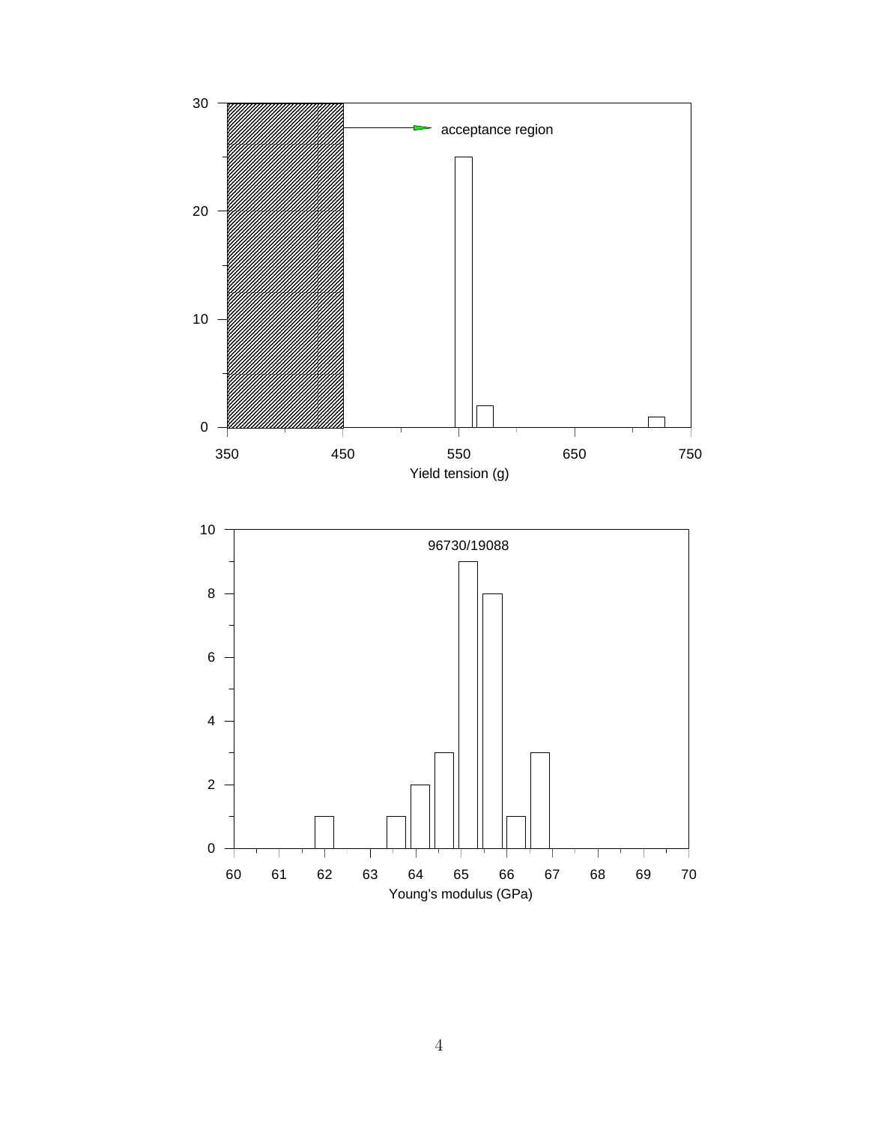